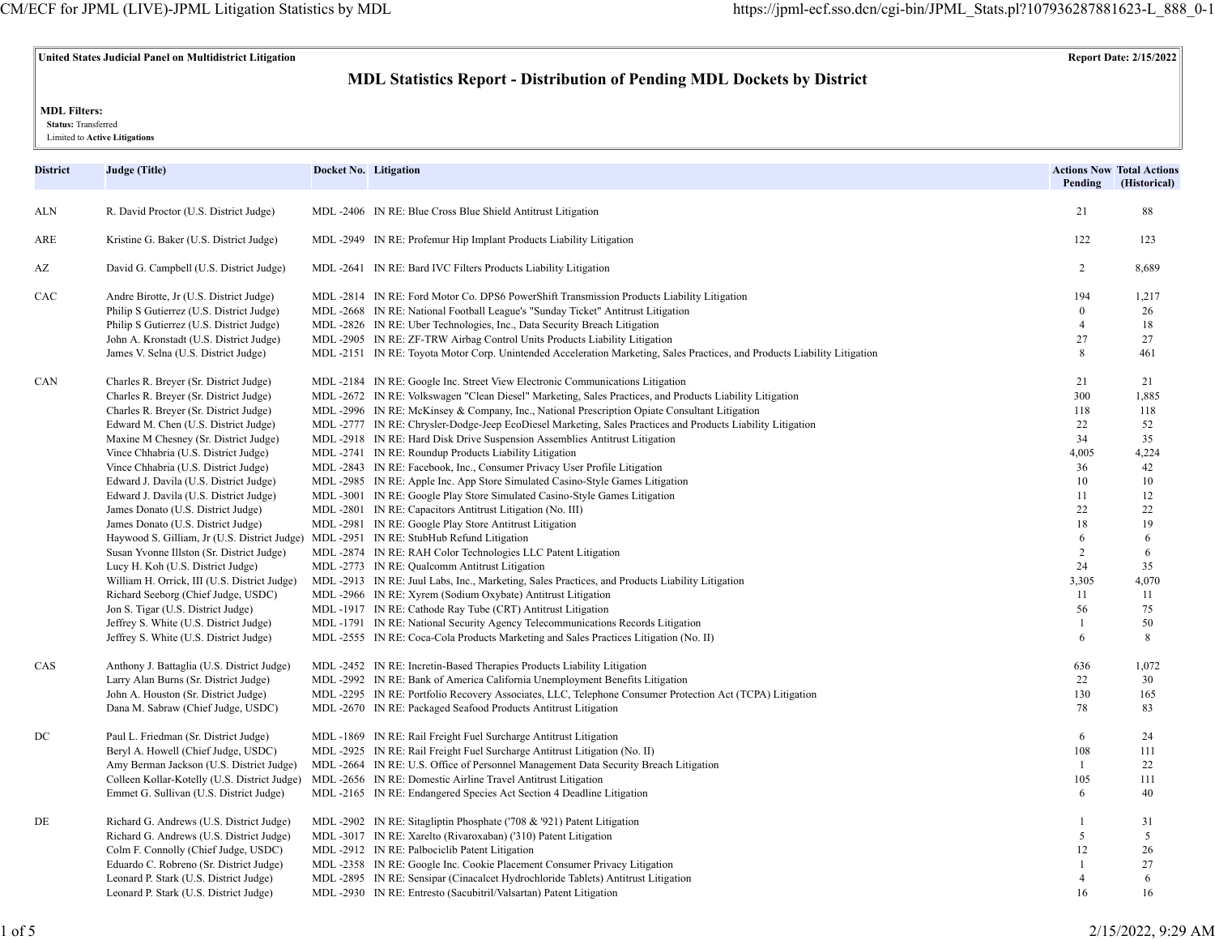# **United States Judicial Panel on Multidistrict Litigation Report Date: 2/15/2022**

# **MDL Statistics Report - Distribution of Pending MDL Dockets by District**

### **MDL Filters:**

 **Status:** Transferred

Limited to **Active Litigations**

| District | <b>Judge (Title)</b>                                                             | Docket No. Litigation |                                                                                                                                                                                                        | Pending             | <b>Actions Now Total Actions</b><br>(Historical) |
|----------|----------------------------------------------------------------------------------|-----------------------|--------------------------------------------------------------------------------------------------------------------------------------------------------------------------------------------------------|---------------------|--------------------------------------------------|
| ALN      | R. David Proctor (U.S. District Judge)                                           |                       | MDL -2406 IN RE: Blue Cross Blue Shield Antitrust Litigation                                                                                                                                           | 21                  | 88                                               |
| ARE      | Kristine G. Baker (U.S. District Judge)                                          |                       | MDL-2949 IN RE: Profemur Hip Implant Products Liability Litigation                                                                                                                                     | 122                 | 123                                              |
| AZ       | David G. Campbell (U.S. District Judge)                                          |                       | MDL-2641 IN RE: Bard IVC Filters Products Liability Litigation                                                                                                                                         | 2                   | 8,689                                            |
| CAC      | Andre Birotte, Jr (U.S. District Judge)                                          |                       | MDL-2814 IN RE: Ford Motor Co. DPS6 PowerShift Transmission Products Liability Litigation                                                                                                              | 194<br>$\mathbf{0}$ | 1,217                                            |
|          | Philip S Gutierrez (U.S. District Judge)                                         |                       | MDL -2668 IN RE: National Football League's "Sunday Ticket" Antitrust Litigation                                                                                                                       | $\overline{4}$      | 26                                               |
|          | Philip S Gutierrez (U.S. District Judge)                                         |                       | MDL -2826 IN RE: Uber Technologies, Inc., Data Security Breach Litigation                                                                                                                              | 27                  | 18<br>27                                         |
|          | John A. Kronstadt (U.S. District Judge)<br>James V. Selna (U.S. District Judge)  |                       | MDL -2905 IN RE: ZF-TRW Airbag Control Units Products Liability Litigation<br>MDL-2151 IN RE: Toyota Motor Corp. Unintended Acceleration Marketing, Sales Practices, and Products Liability Litigation | $\,8\,$             | 461                                              |
|          |                                                                                  |                       |                                                                                                                                                                                                        |                     |                                                  |
| CAN      | Charles R. Breyer (Sr. District Judge)                                           |                       | MDL -2184 IN RE: Google Inc. Street View Electronic Communications Litigation                                                                                                                          | 21<br>300           | 21                                               |
|          | Charles R. Breyer (Sr. District Judge)                                           |                       | MDL-2672 IN RE: Volkswagen "Clean Diesel" Marketing, Sales Practices, and Products Liability Litigation                                                                                                |                     | 1,885                                            |
|          | Charles R. Breyer (Sr. District Judge)                                           |                       | MDL-2996 IN RE: McKinsey & Company, Inc., National Prescription Opiate Consultant Litigation                                                                                                           | 118<br>22           | 118                                              |
|          | Edward M. Chen (U.S. District Judge)                                             |                       | MDL-2777 IN RE: Chrysler-Dodge-Jeep EcoDiesel Marketing, Sales Practices and Products Liability Litigation                                                                                             |                     | 52                                               |
|          | Maxine M Chesney (Sr. District Judge)                                            |                       | MDL -2918 IN RE: Hard Disk Drive Suspension Assemblies Antitrust Litigation                                                                                                                            | 34<br>4,005         | 35                                               |
|          | Vince Chhabria (U.S. District Judge)                                             |                       | MDL -2741 IN RE: Roundup Products Liability Litigation                                                                                                                                                 |                     | 4,224                                            |
|          | Vince Chhabria (U.S. District Judge)                                             |                       | MDL -2843 IN RE: Facebook, Inc., Consumer Privacy User Profile Litigation                                                                                                                              | 36<br>10            | 42                                               |
|          | Edward J. Davila (U.S. District Judge)<br>Edward J. Davila (U.S. District Judge) |                       | MDL-2985 IN RE: Apple Inc. App Store Simulated Casino-Style Games Litigation<br>MDL-3001 IN RE: Google Play Store Simulated Casino-Style Games Litigation                                              | 11                  | 10<br>12                                         |
|          |                                                                                  |                       |                                                                                                                                                                                                        | 22                  | 22                                               |
|          | James Donato (U.S. District Judge)                                               |                       | MDL-2801 IN RE: Capacitors Antitrust Litigation (No. III)                                                                                                                                              | 18                  | 19                                               |
|          | James Donato (U.S. District Judge)                                               |                       | MDL -2981 IN RE: Google Play Store Antitrust Litigation                                                                                                                                                | 6                   | 6                                                |
|          | Haywood S. Gilliam, Jr (U.S. District Judge)                                     |                       | MDL-2951 IN RE: StubHub Refund Litigation<br>MDL-2874 IN RE: RAH Color Technologies LLC Patent Litigation                                                                                              | 2                   | 6                                                |
|          | Susan Yvonne Illston (Sr. District Judge)                                        |                       |                                                                                                                                                                                                        | 24                  | 35                                               |
|          | Lucy H. Koh (U.S. District Judge)                                                |                       | MDL -2773 IN RE: Qualcomm Antitrust Litigation                                                                                                                                                         | 3,305               |                                                  |
|          | William H. Orrick, III (U.S. District Judge)                                     |                       | MDL-2913 IN RE: Juul Labs, Inc., Marketing, Sales Practices, and Products Liability Litigation                                                                                                         | 11                  | 4,070                                            |
|          | Richard Seeborg (Chief Judge, USDC)                                              |                       | MDL -2966 IN RE: Xyrem (Sodium Oxybate) Antitrust Litigation                                                                                                                                           |                     | 11                                               |
|          | Jon S. Tigar (U.S. District Judge)                                               |                       | MDL-1917 IN RE: Cathode Ray Tube (CRT) Antitrust Litigation                                                                                                                                            | 56                  | 75                                               |
|          | Jeffrey S. White (U.S. District Judge)<br>Jeffrey S. White (U.S. District Judge) |                       | MDL -1791 IN RE: National Security Agency Telecommunications Records Litigation<br>MDL-2555 IN RE: Coca-Cola Products Marketing and Sales Practices Litigation (No. II)                                | -1<br>6             | 50<br>8                                          |
|          |                                                                                  |                       |                                                                                                                                                                                                        |                     |                                                  |
| CAS      | Anthony J. Battaglia (U.S. District Judge)                                       |                       | MDL -2452 IN RE: Incretin-Based Therapies Products Liability Litigation                                                                                                                                | 636                 | 1,072                                            |
|          | Larry Alan Burns (Sr. District Judge)                                            |                       | MDL -2992 IN RE: Bank of America California Unemployment Benefits Litigation                                                                                                                           | 22                  | 30                                               |
|          | John A. Houston (Sr. District Judge)                                             |                       | MDL-2295 IN RE: Portfolio Recovery Associates, LLC, Telephone Consumer Protection Act (TCPA) Litigation                                                                                                | 130                 | 165                                              |
|          | Dana M. Sabraw (Chief Judge, USDC)                                               |                       | MDL-2670 IN RE: Packaged Seafood Products Antitrust Litigation                                                                                                                                         | 78                  | 83                                               |
| DC       | Paul L. Friedman (Sr. District Judge)                                            |                       | MDL -1869 IN RE: Rail Freight Fuel Surcharge Antitrust Litigation                                                                                                                                      | 6                   | 24                                               |
|          | Beryl A. Howell (Chief Judge, USDC)                                              |                       | MDL -2925 IN RE: Rail Freight Fuel Surcharge Antitrust Litigation (No. II)                                                                                                                             | 108                 | 111                                              |
|          | Amy Berman Jackson (U.S. District Judge)                                         |                       | MDL-2664 IN RE: U.S. Office of Personnel Management Data Security Breach Litigation                                                                                                                    | $\mathbf{1}$        | 22                                               |
|          | Colleen Kollar-Kotelly (U.S. District Judge)                                     |                       | MDL -2656 IN RE: Domestic Airline Travel Antitrust Litigation                                                                                                                                          | 105                 | 111                                              |
|          | Emmet G. Sullivan (U.S. District Judge)                                          |                       | MDL-2165 IN RE: Endangered Species Act Section 4 Deadline Litigation                                                                                                                                   | 6                   | 40                                               |
| DE       | Richard G. Andrews (U.S. District Judge)                                         |                       | MDL -2902 IN RE: Sitagliptin Phosphate ('708 & '921) Patent Litigation                                                                                                                                 | $\overline{1}$      | 31                                               |
|          | Richard G. Andrews (U.S. District Judge)                                         |                       | MDL-3017 IN RE: Xarelto (Rivaroxaban) ('310) Patent Litigation                                                                                                                                         | 5                   | 5                                                |
|          | Colm F. Connolly (Chief Judge, USDC)                                             |                       | MDL-2912 IN RE: Palbociclib Patent Litigation                                                                                                                                                          | 12                  | 26                                               |
|          | Eduardo C. Robreno (Sr. District Judge)                                          |                       | MDL-2358 IN RE: Google Inc. Cookie Placement Consumer Privacy Litigation                                                                                                                               |                     | 27                                               |
|          | Leonard P. Stark (U.S. District Judge)                                           |                       | MDL-2895 IN RE: Sensipar (Cinacalcet Hydrochloride Tablets) Antitrust Litigation                                                                                                                       | $\overline{4}$      | 6                                                |
|          | Leonard P. Stark (U.S. District Judge)                                           |                       | MDL-2930 IN RE: Entresto (Sacubitril/Valsartan) Patent Litigation                                                                                                                                      | 16                  | 16                                               |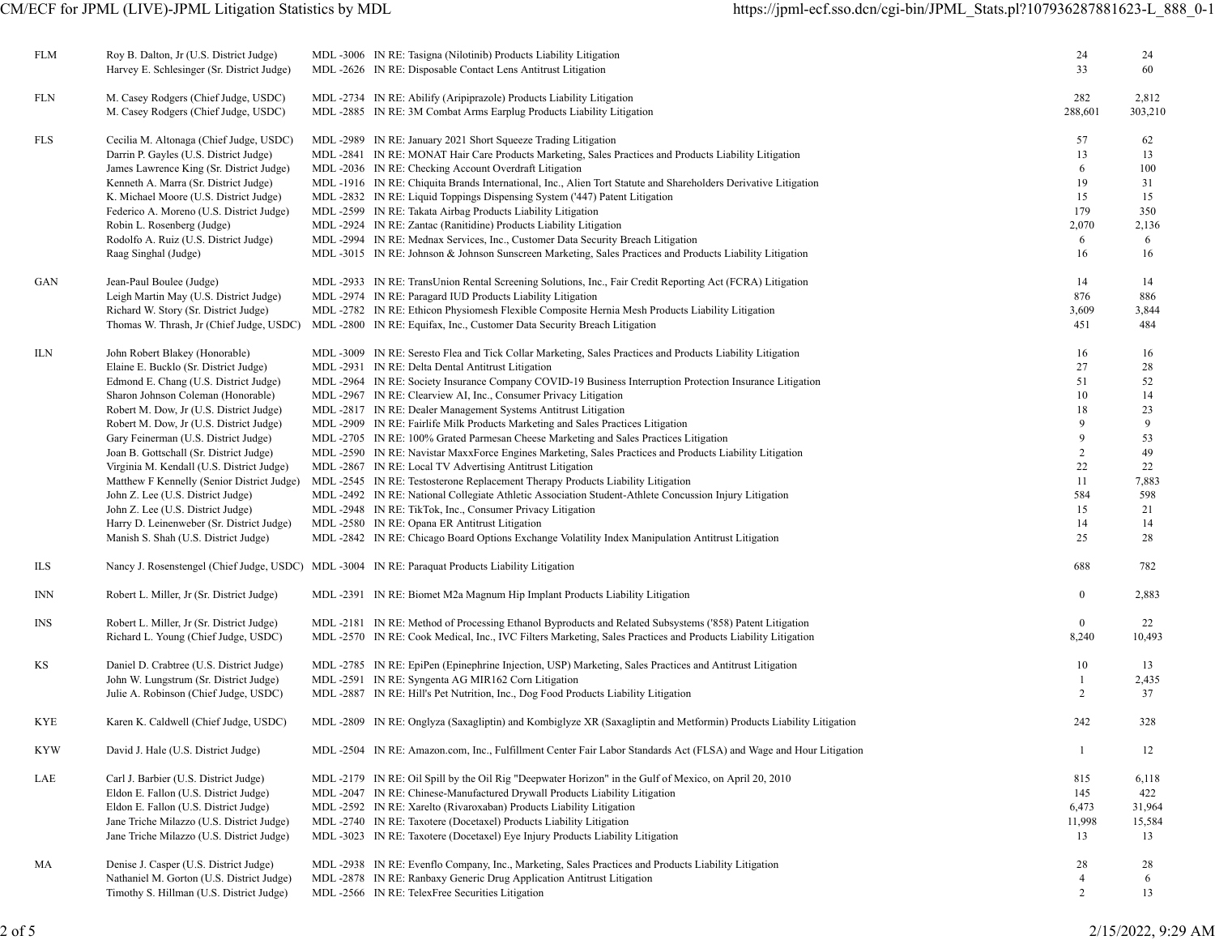| FLM        | Roy B. Dalton, Jr (U.S. District Judge)<br>Harvey E. Schlesinger (Sr. District Judge)                                                                                                                                                                                                                                                                                                                                                                                                                                                                                                     | MDL -3006 IN RE: Tasigna (Nilotinib) Products Liability Litigation<br>MDL -2626 IN RE: Disposable Contact Lens Antitrust Litigation                                                                                                                                                                                                                                                                                                                                                                                                                                                                                                                                                                                                                                                                                                                                                                                                                                                                                                                                                                                                                                                   | 24<br>33                                                                                    | 24<br>60                                                                            |
|------------|-------------------------------------------------------------------------------------------------------------------------------------------------------------------------------------------------------------------------------------------------------------------------------------------------------------------------------------------------------------------------------------------------------------------------------------------------------------------------------------------------------------------------------------------------------------------------------------------|---------------------------------------------------------------------------------------------------------------------------------------------------------------------------------------------------------------------------------------------------------------------------------------------------------------------------------------------------------------------------------------------------------------------------------------------------------------------------------------------------------------------------------------------------------------------------------------------------------------------------------------------------------------------------------------------------------------------------------------------------------------------------------------------------------------------------------------------------------------------------------------------------------------------------------------------------------------------------------------------------------------------------------------------------------------------------------------------------------------------------------------------------------------------------------------|---------------------------------------------------------------------------------------------|-------------------------------------------------------------------------------------|
| FLN        | M. Casey Rodgers (Chief Judge, USDC)<br>M. Casey Rodgers (Chief Judge, USDC)                                                                                                                                                                                                                                                                                                                                                                                                                                                                                                              | MDL -2734 IN RE: Abilify (Aripiprazole) Products Liability Litigation<br>MDL -2885 IN RE: 3M Combat Arms Earplug Products Liability Litigation                                                                                                                                                                                                                                                                                                                                                                                                                                                                                                                                                                                                                                                                                                                                                                                                                                                                                                                                                                                                                                        | 282<br>288,601                                                                              | 2,812<br>303,210                                                                    |
| FLS        | Cecilia M. Altonaga (Chief Judge, USDC)<br>Darrin P. Gayles (U.S. District Judge)<br>James Lawrence King (Sr. District Judge)<br>Kenneth A. Marra (Sr. District Judge)<br>K. Michael Moore (U.S. District Judge)<br>Federico A. Moreno (U.S. District Judge)<br>Robin L. Rosenberg (Judge)<br>Rodolfo A. Ruiz (U.S. District Judge)<br>Raag Singhal (Judge)                                                                                                                                                                                                                               | MDL -2989 IN RE: January 2021 Short Squeeze Trading Litigation<br>MDL-2841 IN RE: MONAT Hair Care Products Marketing, Sales Practices and Products Liability Litigation<br>MDL -2036 IN RE: Checking Account Overdraft Litigation<br>MDL-1916 IN RE: Chiquita Brands International, Inc., Alien Tort Statute and Shareholders Derivative Litigation<br>MDL-2832 IN RE: Liquid Toppings Dispensing System ('447) Patent Litigation<br>MDL -2599 IN RE: Takata Airbag Products Liability Litigation<br>MDL -2924 IN RE: Zantac (Ranitidine) Products Liability Litigation<br>MDL-2994 IN RE: Mednax Services, Inc., Customer Data Security Breach Litigation<br>MDL-3015 IN RE: Johnson & Johnson Sunscreen Marketing, Sales Practices and Products Liability Litigation                                                                                                                                                                                                                                                                                                                                                                                                                | 57<br>13<br>6<br>19<br>15<br>179<br>2,070<br>6<br>16                                        | 62<br>13<br>100<br>31<br>15<br>350<br>2,136<br>6<br>16                              |
| GAN        | Jean-Paul Boulee (Judge)<br>Leigh Martin May (U.S. District Judge)<br>Richard W. Story (Sr. District Judge)<br>Thomas W. Thrash, Jr (Chief Judge, USDC)                                                                                                                                                                                                                                                                                                                                                                                                                                   | MDL-2933 IN RE: TransUnion Rental Screening Solutions, Inc., Fair Credit Reporting Act (FCRA) Litigation<br>MDL -2974 IN RE: Paragard IUD Products Liability Litigation<br>MDL-2782 IN RE: Ethicon Physiomesh Flexible Composite Hernia Mesh Products Liability Litigation<br>MDL-2800 IN RE: Equifax, Inc., Customer Data Security Breach Litigation                                                                                                                                                                                                                                                                                                                                                                                                                                                                                                                                                                                                                                                                                                                                                                                                                                 | 14<br>876<br>3,609<br>451                                                                   | 14<br>886<br>3,844<br>484                                                           |
| ILN        | John Robert Blakey (Honorable)<br>Elaine E. Bucklo (Sr. District Judge)<br>Edmond E. Chang (U.S. District Judge)<br>Sharon Johnson Coleman (Honorable)<br>Robert M. Dow, Jr (U.S. District Judge)<br>Robert M. Dow, Jr (U.S. District Judge)<br>Gary Feinerman (U.S. District Judge)<br>Joan B. Gottschall (Sr. District Judge)<br>Virginia M. Kendall (U.S. District Judge)<br>Matthew F Kennelly (Senior District Judge)<br>John Z. Lee (U.S. District Judge)<br>John Z. Lee (U.S. District Judge)<br>Harry D. Leinenweber (Sr. District Judge)<br>Manish S. Shah (U.S. District Judge) | MDL-3009 IN RE: Seresto Flea and Tick Collar Marketing, Sales Practices and Products Liability Litigation<br>MDL -2931 IN RE: Delta Dental Antitrust Litigation<br>MDL-2964 IN RE: Society Insurance Company COVID-19 Business Interruption Protection Insurance Litigation<br>MDL -2967 IN RE: Clearview AI, Inc., Consumer Privacy Litigation<br>MDL -2817 IN RE: Dealer Management Systems Antitrust Litigation<br>MDL-2909 IN RE: Fairlife Milk Products Marketing and Sales Practices Litigation<br>MDL-2705 IN RE: 100% Grated Parmesan Cheese Marketing and Sales Practices Litigation<br>MDL-2590 IN RE: Navistar MaxxForce Engines Marketing, Sales Practices and Products Liability Litigation<br>MDL -2867 IN RE: Local TV Advertising Antitrust Litigation<br>MDL-2545 IN RE: Testosterone Replacement Therapy Products Liability Litigation<br>MDL-2492 IN RE: National Collegiate Athletic Association Student-Athlete Concussion Injury Litigation<br>MDL-2948 IN RE: TikTok, Inc., Consumer Privacy Litigation<br>MDL -2580 IN RE: Opana ER Antitrust Litigation<br>MDL-2842 IN RE: Chicago Board Options Exchange Volatility Index Manipulation Antitrust Litigation | 16<br>27<br>51<br>10<br>18<br>9<br>9<br>$\overline{c}$<br>22<br>11<br>584<br>15<br>14<br>25 | 16<br>28<br>52<br>14<br>23<br>9<br>53<br>49<br>22<br>7,883<br>598<br>21<br>14<br>28 |
| ILS        |                                                                                                                                                                                                                                                                                                                                                                                                                                                                                                                                                                                           | Nancy J. Rosenstengel (Chief Judge, USDC) MDL -3004 IN RE: Paraquat Products Liability Litigation                                                                                                                                                                                                                                                                                                                                                                                                                                                                                                                                                                                                                                                                                                                                                                                                                                                                                                                                                                                                                                                                                     | 688                                                                                         | 782                                                                                 |
| INN        | Robert L. Miller, Jr (Sr. District Judge)                                                                                                                                                                                                                                                                                                                                                                                                                                                                                                                                                 | MDL-2391 IN RE: Biomet M2a Magnum Hip Implant Products Liability Litigation                                                                                                                                                                                                                                                                                                                                                                                                                                                                                                                                                                                                                                                                                                                                                                                                                                                                                                                                                                                                                                                                                                           | $\mathbf{0}$                                                                                | 2,883                                                                               |
| <b>INS</b> | Robert L. Miller, Jr (Sr. District Judge)<br>Richard L. Young (Chief Judge, USDC)                                                                                                                                                                                                                                                                                                                                                                                                                                                                                                         | MDL-2181 IN RE: Method of Processing Ethanol Byproducts and Related Subsystems ('858) Patent Litigation<br>MDL-2570 IN RE: Cook Medical, Inc., IVC Filters Marketing, Sales Practices and Products Liability Litigation                                                                                                                                                                                                                                                                                                                                                                                                                                                                                                                                                                                                                                                                                                                                                                                                                                                                                                                                                               | $\overline{0}$<br>8,240                                                                     | 22<br>10,493                                                                        |
| ΚS         | Daniel D. Crabtree (U.S. District Judge)<br>John W. Lungstrum (Sr. District Judge)<br>Julie A. Robinson (Chief Judge, USDC)                                                                                                                                                                                                                                                                                                                                                                                                                                                               | MDL-2785 IN RE: EpiPen (Epinephrine Injection, USP) Marketing, Sales Practices and Antitrust Litigation<br>MDL-2591 IN RE: Syngenta AG MIR162 Corn Litigation<br>MDL-2887 IN RE: Hill's Pet Nutrition, Inc., Dog Food Products Liability Litigation                                                                                                                                                                                                                                                                                                                                                                                                                                                                                                                                                                                                                                                                                                                                                                                                                                                                                                                                   | 10<br>$\overline{c}$                                                                        | 13<br>2,435<br>37                                                                   |
| KYE        | Karen K. Caldwell (Chief Judge, USDC)                                                                                                                                                                                                                                                                                                                                                                                                                                                                                                                                                     | MDL-2809 IN RE: Onglyza (Saxagliptin) and Kombiglyze XR (Saxagliptin and Metformin) Products Liability Litigation                                                                                                                                                                                                                                                                                                                                                                                                                                                                                                                                                                                                                                                                                                                                                                                                                                                                                                                                                                                                                                                                     | 242                                                                                         | 328                                                                                 |
| <b>KYW</b> | David J. Hale (U.S. District Judge)                                                                                                                                                                                                                                                                                                                                                                                                                                                                                                                                                       | MDL-2504 IN RE: Amazon.com, Inc., Fulfillment Center Fair Labor Standards Act (FLSA) and Wage and Hour Litigation                                                                                                                                                                                                                                                                                                                                                                                                                                                                                                                                                                                                                                                                                                                                                                                                                                                                                                                                                                                                                                                                     | 1                                                                                           | 12                                                                                  |
| LAE        | Carl J. Barbier (U.S. District Judge)<br>Eldon E. Fallon (U.S. District Judge)<br>Eldon E. Fallon (U.S. District Judge)<br>Jane Triche Milazzo (U.S. District Judge)<br>Jane Triche Milazzo (U.S. District Judge)                                                                                                                                                                                                                                                                                                                                                                         | MDL-2179 IN RE: Oil Spill by the Oil Rig "Deepwater Horizon" in the Gulf of Mexico, on April 20, 2010<br>MDL-2047 IN RE: Chinese-Manufactured Drywall Products Liability Litigation<br>MDL-2592 IN RE: Xarelto (Rivaroxaban) Products Liability Litigation<br>MDL -2740 IN RE: Taxotere (Docetaxel) Products Liability Litigation<br>MDL -3023 IN RE: Taxotere (Docetaxel) Eye Injury Products Liability Litigation                                                                                                                                                                                                                                                                                                                                                                                                                                                                                                                                                                                                                                                                                                                                                                   | 815<br>145<br>6,473<br>11,998<br>13                                                         | 6,118<br>422<br>31,964<br>15,584<br>13                                              |
| MA         | Denise J. Casper (U.S. District Judge)<br>Nathaniel M. Gorton (U.S. District Judge)<br>Timothy S. Hillman (U.S. District Judge)                                                                                                                                                                                                                                                                                                                                                                                                                                                           | MDL-2938 IN RE: Evenflo Company, Inc., Marketing, Sales Practices and Products Liability Litigation<br>MDL -2878 IN RE: Ranbaxy Generic Drug Application Antitrust Litigation<br>MDL-2566 IN RE: TelexFree Securities Litigation                                                                                                                                                                                                                                                                                                                                                                                                                                                                                                                                                                                                                                                                                                                                                                                                                                                                                                                                                      | 28<br>4<br>2                                                                                | 28<br>6<br>13                                                                       |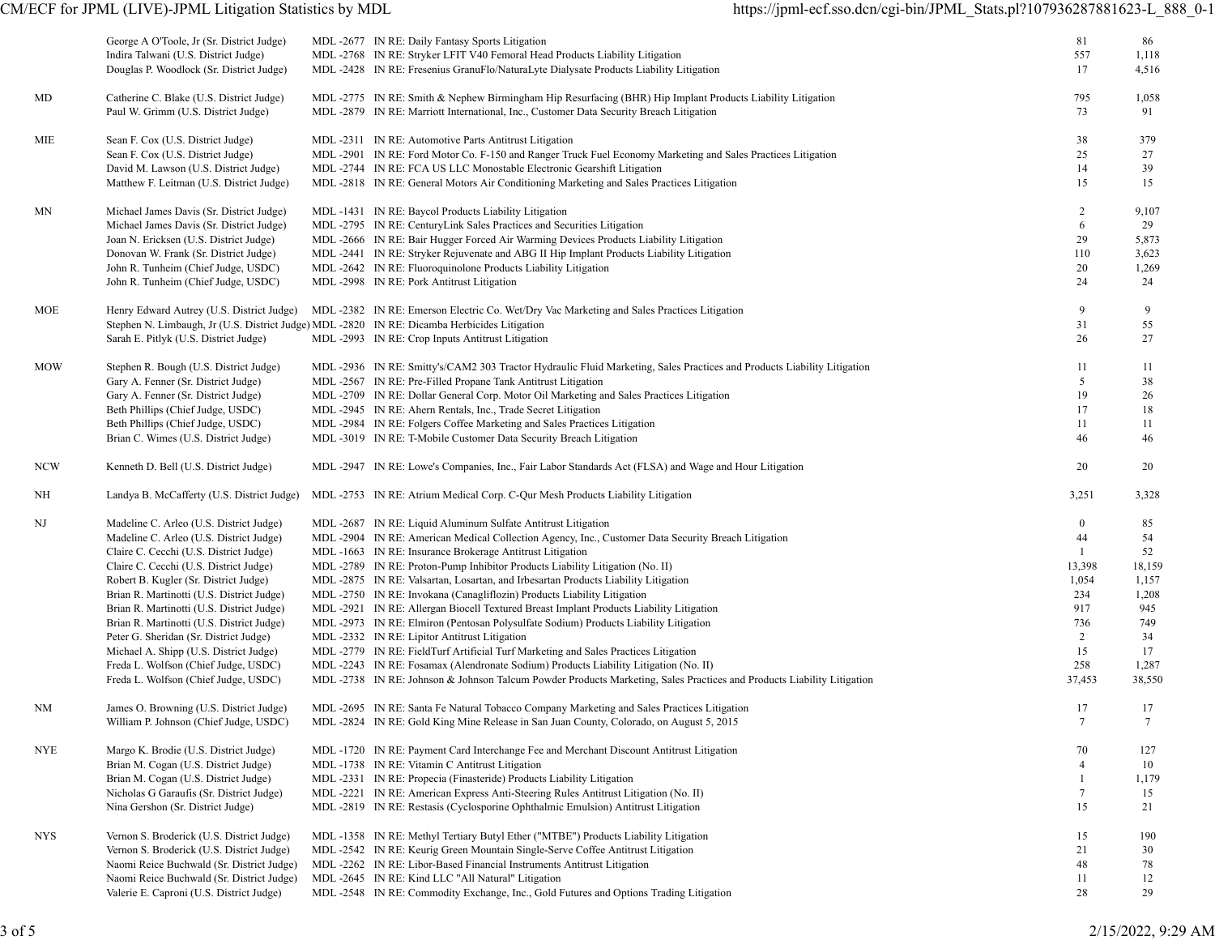|            | George A O'Toole, Jr (Sr. District Judge)<br>Indira Talwani (U.S. District Judge)<br>Douglas P. Woodlock (Sr. District Judge)                                                                                                                                                                                                                                                                                                                                                                                              | MDL -2677 IN RE: Daily Fantasy Sports Litigation<br>MDL -2768 IN RE: Stryker LFIT V40 Femoral Head Products Liability Litigation<br>MDL-2428 IN RE: Fresenius GranuFlo/NaturaLyte Dialysate Products Liability Litigation                                                                                                                                                                                                                                                                                                                                                                                                                                                                                                                                                                 |                                                                                                                                                                                                                             | 81<br>557<br>17                                                                                    | 86<br>1,118<br>4,516                                                                    |
|------------|----------------------------------------------------------------------------------------------------------------------------------------------------------------------------------------------------------------------------------------------------------------------------------------------------------------------------------------------------------------------------------------------------------------------------------------------------------------------------------------------------------------------------|-------------------------------------------------------------------------------------------------------------------------------------------------------------------------------------------------------------------------------------------------------------------------------------------------------------------------------------------------------------------------------------------------------------------------------------------------------------------------------------------------------------------------------------------------------------------------------------------------------------------------------------------------------------------------------------------------------------------------------------------------------------------------------------------|-----------------------------------------------------------------------------------------------------------------------------------------------------------------------------------------------------------------------------|----------------------------------------------------------------------------------------------------|-----------------------------------------------------------------------------------------|
| MD         | Catherine C. Blake (U.S. District Judge)<br>Paul W. Grimm (U.S. District Judge)                                                                                                                                                                                                                                                                                                                                                                                                                                            | MDL-2879 IN RE: Marriott International, Inc., Customer Data Security Breach Litigation                                                                                                                                                                                                                                                                                                                                                                                                                                                                                                                                                                                                                                                                                                    | MDL-2775 IN RE: Smith & Nephew Birmingham Hip Resurfacing (BHR) Hip Implant Products Liability Litigation                                                                                                                   | 795<br>73                                                                                          | 1,058<br>91                                                                             |
| MIE        | Sean F. Cox (U.S. District Judge)<br>Sean F. Cox (U.S. District Judge)<br>David M. Lawson (U.S. District Judge)<br>Matthew F. Leitman (U.S. District Judge)                                                                                                                                                                                                                                                                                                                                                                | MDL -2311 IN RE: Automotive Parts Antitrust Litigation<br>MDL -2744 IN RE: FCA US LLC Monostable Electronic Gearshift Litigation<br>MDL-2818 IN RE: General Motors Air Conditioning Marketing and Sales Practices Litigation                                                                                                                                                                                                                                                                                                                                                                                                                                                                                                                                                              | MDL-2901 IN RE: Ford Motor Co. F-150 and Ranger Truck Fuel Economy Marketing and Sales Practices Litigation                                                                                                                 | 38<br>25<br>14<br>15                                                                               | 379<br>27<br>39<br>15                                                                   |
| MΝ         | Michael James Davis (Sr. District Judge)<br>Michael James Davis (Sr. District Judge)<br>Joan N. Ericksen (U.S. District Judge)<br>Donovan W. Frank (Sr. District Judge)<br>John R. Tunheim (Chief Judge, USDC)<br>John R. Tunheim (Chief Judge, USDC)                                                                                                                                                                                                                                                                      | MDL -1431 IN RE: Baycol Products Liability Litigation<br>MDL-2795 IN RE: CenturyLink Sales Practices and Securities Litigation<br>MDL-2666 IN RE: Bair Hugger Forced Air Warming Devices Products Liability Litigation<br>MDL-2441 IN RE: Stryker Rejuvenate and ABG II Hip Implant Products Liability Litigation<br>MDL -2642 IN RE: Fluoroquinolone Products Liability Litigation<br>MDL -2998 IN RE: Pork Antitrust Litigation                                                                                                                                                                                                                                                                                                                                                         |                                                                                                                                                                                                                             | 2<br>6<br>29<br>110<br>20<br>24                                                                    | 9,107<br>29<br>5,873<br>3,623<br>1,269<br>24                                            |
| MOE        | Henry Edward Autrey (U.S. District Judge)<br>Sarah E. Pitlyk (U.S. District Judge)                                                                                                                                                                                                                                                                                                                                                                                                                                         | MDL-2382 IN RE: Emerson Electric Co. Wet/Dry Vac Marketing and Sales Practices Litigation<br>Stephen N. Limbaugh, Jr (U.S. District Judge) MDL -2820 IN RE: Dicamba Herbicides Litigation<br>MDL-2993 IN RE: Crop Inputs Antitrust Litigation                                                                                                                                                                                                                                                                                                                                                                                                                                                                                                                                             |                                                                                                                                                                                                                             | 9<br>31<br>26                                                                                      | 9<br>55<br>27                                                                           |
| <b>MOW</b> | Stephen R. Bough (U.S. District Judge)<br>Gary A. Fenner (Sr. District Judge)<br>Gary A. Fenner (Sr. District Judge)<br>Beth Phillips (Chief Judge, USDC)<br>Beth Phillips (Chief Judge, USDC)<br>Brian C. Wimes (U.S. District Judge)                                                                                                                                                                                                                                                                                     | MDL -2567 IN RE: Pre-Filled Propane Tank Antitrust Litigation<br>MDL-2709 IN RE: Dollar General Corp. Motor Oil Marketing and Sales Practices Litigation<br>MDL -2945 IN RE: Ahern Rentals, Inc., Trade Secret Litigation<br>MDL-2984 IN RE: Folgers Coffee Marketing and Sales Practices Litigation<br>MDL -3019 IN RE: T-Mobile Customer Data Security Breach Litigation                                                                                                                                                                                                                                                                                                                                                                                                                | MDL-2936 IN RE: Smitty's/CAM2 303 Tractor Hydraulic Fluid Marketing, Sales Practices and Products Liability Litigation                                                                                                      | 11<br>5<br>19<br>17<br>11<br>46                                                                    | 11<br>38<br>26<br>18<br>11<br>46                                                        |
| <b>NCW</b> | Kenneth D. Bell (U.S. District Judge)                                                                                                                                                                                                                                                                                                                                                                                                                                                                                      |                                                                                                                                                                                                                                                                                                                                                                                                                                                                                                                                                                                                                                                                                                                                                                                           | MDL-2947 IN RE: Lowe's Companies, Inc., Fair Labor Standards Act (FLSA) and Wage and Hour Litigation                                                                                                                        | 20                                                                                                 | 20                                                                                      |
| NH         | Landya B. McCafferty (U.S. District Judge)                                                                                                                                                                                                                                                                                                                                                                                                                                                                                 | MDL -2753 IN RE: Atrium Medical Corp. C-Qur Mesh Products Liability Litigation                                                                                                                                                                                                                                                                                                                                                                                                                                                                                                                                                                                                                                                                                                            |                                                                                                                                                                                                                             | 3,251                                                                                              | 3,328                                                                                   |
| NJ         | Madeline C. Arleo (U.S. District Judge)<br>Madeline C. Arleo (U.S. District Judge)<br>Claire C. Cecchi (U.S. District Judge)<br>Claire C. Cecchi (U.S. District Judge)<br>Robert B. Kugler (Sr. District Judge)<br>Brian R. Martinotti (U.S. District Judge)<br>Brian R. Martinotti (U.S. District Judge)<br>Brian R. Martinotti (U.S. District Judge)<br>Peter G. Sheridan (Sr. District Judge)<br>Michael A. Shipp (U.S. District Judge)<br>Freda L. Wolfson (Chief Judge, USDC)<br>Freda L. Wolfson (Chief Judge, USDC) | MDL -2687 IN RE: Liquid Aluminum Sulfate Antitrust Litigation<br>MDL-1663 IN RE: Insurance Brokerage Antitrust Litigation<br>MDL -2789 IN RE: Proton-Pump Inhibitor Products Liability Litigation (No. II)<br>MDL-2875 IN RE: Valsartan, Losartan, and Irbesartan Products Liability Litigation<br>MDL -2750 IN RE: Invokana (Canagliflozin) Products Liability Litigation<br>MDL-2921 IN RE: Allergan Biocell Textured Breast Implant Products Liability Litigation<br>MDL-2973 IN RE: Elmiron (Pentosan Polysulfate Sodium) Products Liability Litigation<br>MDL -2332 IN RE: Lipitor Antitrust Litigation<br>MDL-2779 IN RE: FieldTurf Artificial Turf Marketing and Sales Practices Litigation<br>MDL-2243 IN RE: Fosamax (Alendronate Sodium) Products Liability Litigation (No. II) | MDL-2904 IN RE: American Medical Collection Agency, Inc., Customer Data Security Breach Litigation<br>MDL-2738 IN RE: Johnson & Johnson Talcum Powder Products Marketing, Sales Practices and Products Liability Litigation | $\bf{0}$<br>44<br>$\mathbf{1}$<br>13,398<br>1,054<br>234<br>917<br>736<br>2<br>15<br>258<br>37,453 | 85<br>54<br>52<br>18,159<br>1,157<br>1,208<br>945<br>749<br>34<br>17<br>1,287<br>38,550 |
| NM         | James O. Browning (U.S. District Judge)<br>William P. Johnson (Chief Judge, USDC)                                                                                                                                                                                                                                                                                                                                                                                                                                          | MDL-2695 IN RE: Santa Fe Natural Tobacco Company Marketing and Sales Practices Litigation<br>MDL-2824 IN RE: Gold King Mine Release in San Juan County, Colorado, on August 5, 2015                                                                                                                                                                                                                                                                                                                                                                                                                                                                                                                                                                                                       |                                                                                                                                                                                                                             | 17<br>7                                                                                            | 17<br>7                                                                                 |
| <b>NYE</b> | Margo K. Brodie (U.S. District Judge)<br>Brian M. Cogan (U.S. District Judge)<br>Brian M. Cogan (U.S. District Judge)<br>Nicholas G Garaufis (Sr. District Judge)<br>Nina Gershon (Sr. District Judge)                                                                                                                                                                                                                                                                                                                     | MDL-1720 IN RE: Payment Card Interchange Fee and Merchant Discount Antitrust Litigation<br>MDL -1738 IN RE: Vitamin C Antitrust Litigation<br>MDL -2331 IN RE: Propecia (Finasteride) Products Liability Litigation<br>MDL-2221 IN RE: American Express Anti-Steering Rules Antitrust Litigation (No. II)<br>MDL-2819 IN RE: Restasis (Cyclosporine Ophthalmic Emulsion) Antitrust Litigation                                                                                                                                                                                                                                                                                                                                                                                             |                                                                                                                                                                                                                             | 70<br>4<br>1<br>7<br>15                                                                            | 127<br>10<br>1,179<br>15<br>21                                                          |
| <b>NYS</b> | Vernon S. Broderick (U.S. District Judge)<br>Vernon S. Broderick (U.S. District Judge)<br>Naomi Reice Buchwald (Sr. District Judge)<br>Naomi Reice Buchwald (Sr. District Judge)<br>Valerie E. Caproni (U.S. District Judge)                                                                                                                                                                                                                                                                                               | MDL -1358 IN RE: Methyl Tertiary Butyl Ether ("MTBE") Products Liability Litigation<br>MDL-2542 IN RE: Keurig Green Mountain Single-Serve Coffee Antitrust Litigation<br>MDL -2262 IN RE: Libor-Based Financial Instruments Antitrust Litigation<br>MDL -2645 IN RE: Kind LLC "All Natural" Litigation<br>MDL-2548 IN RE: Commodity Exchange, Inc., Gold Futures and Options Trading Litigation                                                                                                                                                                                                                                                                                                                                                                                           |                                                                                                                                                                                                                             | 15<br>21<br>48<br>11<br>28                                                                         | 190<br>30<br>78<br>12<br>29                                                             |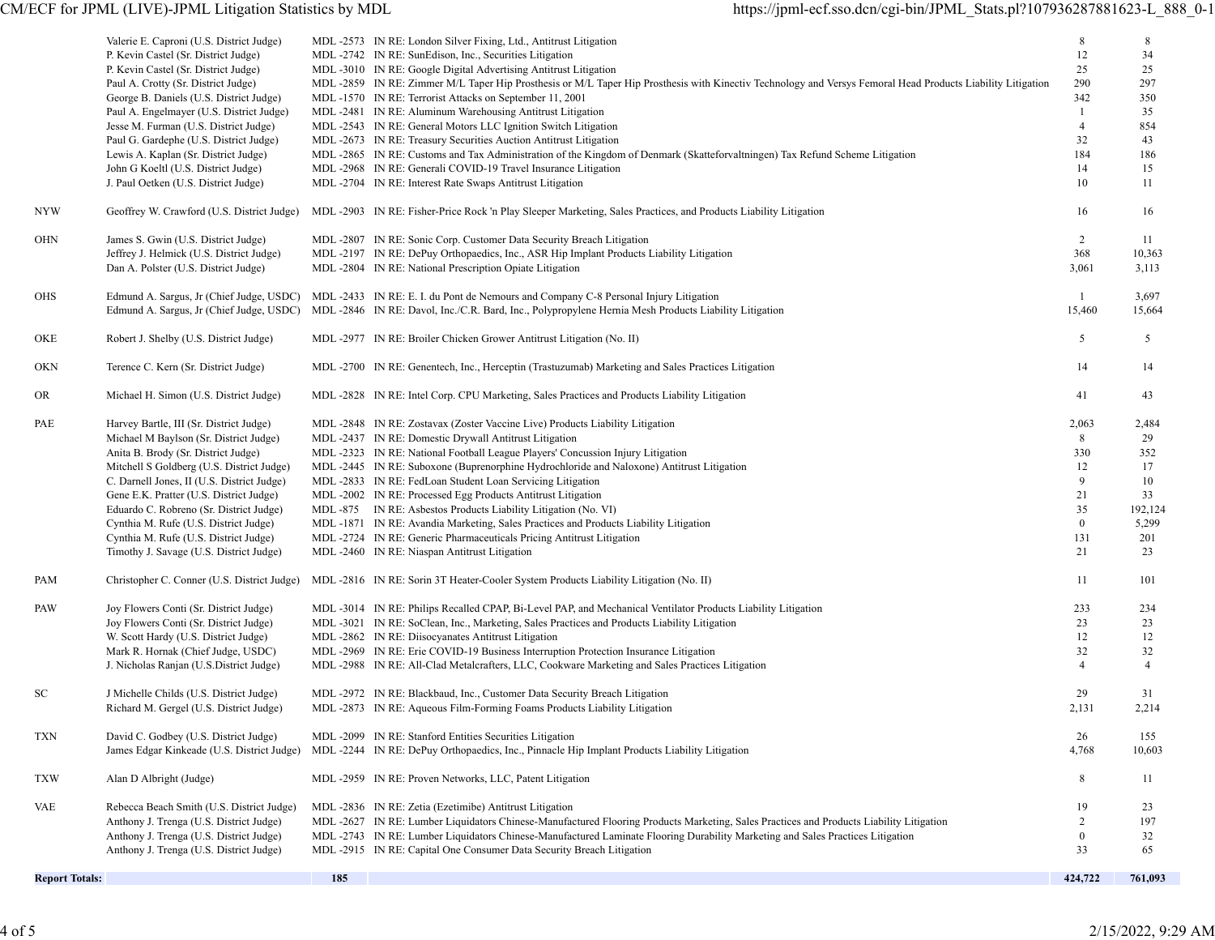| <b>NYW</b>            | Valerie E. Caproni (U.S. District Judge)<br>P. Kevin Castel (Sr. District Judge)<br>P. Kevin Castel (Sr. District Judge)<br>Paul A. Crotty (Sr. District Judge)<br>George B. Daniels (U.S. District Judge)<br>Paul A. Engelmayer (U.S. District Judge)<br>Jesse M. Furman (U.S. District Judge)<br>Paul G. Gardephe (U.S. District Judge)<br>Lewis A. Kaplan (Sr. District Judge)<br>John G Koeltl (U.S. District Judge)<br>J. Paul Oetken (U.S. District Judge) |     | MDL -2573 IN RE: London Silver Fixing, Ltd., Antitrust Litigation<br>MDL-2742 IN RE: SunEdison, Inc., Securities Litigation<br>MDL -3010 IN RE: Google Digital Advertising Antitrust Litigation<br>MDL -2859 IN RE: Zimmer M/L Taper Hip Prosthesis or M/L Taper Hip Prosthesis with Kinectiv Technology and Versys Femoral Head Products Liability Litigation<br>MDL-1570 IN RE: Terrorist Attacks on September 11, 2001<br>MDL -2481 IN RE: Aluminum Warehousing Antitrust Litigation<br>MDL -2543 IN RE: General Motors LLC Ignition Switch Litigation<br>MDL -2673 IN RE: Treasury Securities Auction Antitrust Litigation<br>MDL-2865 IN RE: Customs and Tax Administration of the Kingdom of Denmark (Skatteforvaltningen) Tax Refund Scheme Litigation<br>MDL-2968 IN RE: Generali COVID-19 Travel Insurance Litigation<br>MDL -2704 IN RE: Interest Rate Swaps Antitrust Litigation<br>Geoffrey W. Crawford (U.S. District Judge) MDL -2903 IN RE: Fisher-Price Rock 'n Play Sleeper Marketing, Sales Practices, and Products Liability Litigation | 8<br>12<br>25<br>290<br>342<br>$\mathbf{1}$<br>$\overline{4}$<br>32<br>184<br>14<br>10<br>16 | 8<br>34<br>25<br>297<br>350<br>35<br>854<br>43<br>186<br>15<br>11<br>16 |
|-----------------------|------------------------------------------------------------------------------------------------------------------------------------------------------------------------------------------------------------------------------------------------------------------------------------------------------------------------------------------------------------------------------------------------------------------------------------------------------------------|-----|------------------------------------------------------------------------------------------------------------------------------------------------------------------------------------------------------------------------------------------------------------------------------------------------------------------------------------------------------------------------------------------------------------------------------------------------------------------------------------------------------------------------------------------------------------------------------------------------------------------------------------------------------------------------------------------------------------------------------------------------------------------------------------------------------------------------------------------------------------------------------------------------------------------------------------------------------------------------------------------------------------------------------------------------------------|----------------------------------------------------------------------------------------------|-------------------------------------------------------------------------|
| OHN                   | James S. Gwin (U.S. District Judge)<br>Jeffrey J. Helmick (U.S. District Judge)<br>Dan A. Polster (U.S. District Judge)                                                                                                                                                                                                                                                                                                                                          |     | MDL -2807 IN RE: Sonic Corp. Customer Data Security Breach Litigation<br>MDL-2197 IN RE: DePuy Orthopaedics, Inc., ASR Hip Implant Products Liability Litigation<br>MDL -2804 IN RE: National Prescription Opiate Litigation                                                                                                                                                                                                                                                                                                                                                                                                                                                                                                                                                                                                                                                                                                                                                                                                                               | 2<br>368<br>3,061                                                                            | 11<br>10,363<br>3,113                                                   |
| OHS                   |                                                                                                                                                                                                                                                                                                                                                                                                                                                                  |     | Edmund A. Sargus, Jr (Chief Judge, USDC) MDL -2433 IN RE: E. I. du Pont de Nemours and Company C-8 Personal Injury Litigation<br>Edmund A. Sargus, Jr (Chief Judge, USDC) MDL -2846 IN RE: Davol, Inc./C.R. Bard, Inc., Polypropylene Hernia Mesh Products Liability Litigation                                                                                                                                                                                                                                                                                                                                                                                                                                                                                                                                                                                                                                                                                                                                                                            | -1<br>15,460                                                                                 | 3,697<br>15,664                                                         |
| OKE                   | Robert J. Shelby (U.S. District Judge)                                                                                                                                                                                                                                                                                                                                                                                                                           |     | MDL -2977 IN RE: Broiler Chicken Grower Antitrust Litigation (No. II)                                                                                                                                                                                                                                                                                                                                                                                                                                                                                                                                                                                                                                                                                                                                                                                                                                                                                                                                                                                      | 5                                                                                            | 5                                                                       |
| OKN                   | Terence C. Kern (Sr. District Judge)                                                                                                                                                                                                                                                                                                                                                                                                                             |     | MDL-2700 IN RE: Genentech, Inc., Herceptin (Trastuzumab) Marketing and Sales Practices Litigation                                                                                                                                                                                                                                                                                                                                                                                                                                                                                                                                                                                                                                                                                                                                                                                                                                                                                                                                                          | 14                                                                                           | 14                                                                      |
| OR                    | Michael H. Simon (U.S. District Judge)                                                                                                                                                                                                                                                                                                                                                                                                                           |     | MDL-2828 IN RE: Intel Corp. CPU Marketing, Sales Practices and Products Liability Litigation                                                                                                                                                                                                                                                                                                                                                                                                                                                                                                                                                                                                                                                                                                                                                                                                                                                                                                                                                               | 41                                                                                           | 43                                                                      |
| PAE                   | Harvey Bartle, III (Sr. District Judge)<br>Michael M Baylson (Sr. District Judge)<br>Anita B. Brody (Sr. District Judge)<br>Mitchell S Goldberg (U.S. District Judge)<br>C. Darnell Jones, II (U.S. District Judge)<br>Gene E.K. Pratter (U.S. District Judge)<br>Eduardo C. Robreno (Sr. District Judge)<br>Cynthia M. Rufe (U.S. District Judge)<br>Cynthia M. Rufe (U.S. District Judge)<br>Timothy J. Savage (U.S. District Judge)                           |     | MDL -2848 IN RE: Zostavax (Zoster Vaccine Live) Products Liability Litigation<br>MDL -2437 IN RE: Domestic Drywall Antitrust Litigation<br>MDL -2323 IN RE: National Football League Players' Concussion Injury Litigation<br>MDL-2445 IN RE: Suboxone (Buprenorphine Hydrochloride and Naloxone) Antitrust Litigation<br>MDL -2833 IN RE: FedLoan Student Loan Servicing Litigation<br>MDL-2002 IN RE: Processed Egg Products Antitrust Litigation<br>MDL -875 IN RE: Asbestos Products Liability Litigation (No. VI)<br>MDL-1871 IN RE: Avandia Marketing, Sales Practices and Products Liability Litigation<br>MDL -2724 IN RE: Generic Pharmaceuticals Pricing Antitrust Litigation<br>MDL -2460 IN RE: Niaspan Antitrust Litigation                                                                                                                                                                                                                                                                                                                   | 2,063<br>8<br>330<br>12<br>9<br>21<br>35<br>$\bf{0}$<br>131<br>21                            | 2,484<br>29<br>352<br>17<br>10<br>33<br>192,124<br>5,299<br>201<br>23   |
| PAM                   |                                                                                                                                                                                                                                                                                                                                                                                                                                                                  |     | Christopher C. Conner (U.S. District Judge) MDL -2816 IN RE: Sorin 3T Heater-Cooler System Products Liability Litigation (No. II)                                                                                                                                                                                                                                                                                                                                                                                                                                                                                                                                                                                                                                                                                                                                                                                                                                                                                                                          | 11                                                                                           | 101                                                                     |
| PAW                   | Joy Flowers Conti (Sr. District Judge)<br>Joy Flowers Conti (Sr. District Judge)<br>W. Scott Hardy (U.S. District Judge)<br>Mark R. Hornak (Chief Judge, USDC)<br>J. Nicholas Ranjan (U.S.District Judge)                                                                                                                                                                                                                                                        |     | MDL-3014 IN RE: Philips Recalled CPAP, Bi-Level PAP, and Mechanical Ventilator Products Liability Litigation<br>MDL-3021 IN RE: SoClean, Inc., Marketing, Sales Practices and Products Liability Litigation<br>MDL -2862 IN RE: Diisocyanates Antitrust Litigation<br>MDL-2969 IN RE: Erie COVID-19 Business Interruption Protection Insurance Litigation<br>MDL-2988 IN RE: All-Clad Metalcrafters, LLC, Cookware Marketing and Sales Practices Litigation                                                                                                                                                                                                                                                                                                                                                                                                                                                                                                                                                                                                | 233<br>23<br>12<br>32<br>$\overline{4}$                                                      | 234<br>23<br>12<br>32<br>$\overline{4}$                                 |
| SC                    | J Michelle Childs (U.S. District Judge)<br>Richard M. Gergel (U.S. District Judge)                                                                                                                                                                                                                                                                                                                                                                               |     | MDL -2972 IN RE: Blackbaud, Inc., Customer Data Security Breach Litigation<br>MDL -2873 IN RE: Aqueous Film-Forming Foams Products Liability Litigation                                                                                                                                                                                                                                                                                                                                                                                                                                                                                                                                                                                                                                                                                                                                                                                                                                                                                                    | 29<br>2,131                                                                                  | 31<br>2,214                                                             |
| <b>TXN</b>            | David C. Godbey (U.S. District Judge)<br>James Edgar Kinkeade (U.S. District Judge)                                                                                                                                                                                                                                                                                                                                                                              |     | MDL -2099 IN RE: Stanford Entities Securities Litigation<br>MDL -2244 IN RE: DePuy Orthopaedics, Inc., Pinnacle Hip Implant Products Liability Litigation                                                                                                                                                                                                                                                                                                                                                                                                                                                                                                                                                                                                                                                                                                                                                                                                                                                                                                  | 26<br>4,768                                                                                  | 155<br>10,603                                                           |
| <b>TXW</b>            | Alan D Albright (Judge)                                                                                                                                                                                                                                                                                                                                                                                                                                          |     | MDL -2959 IN RE: Proven Networks, LLC, Patent Litigation                                                                                                                                                                                                                                                                                                                                                                                                                                                                                                                                                                                                                                                                                                                                                                                                                                                                                                                                                                                                   | 8                                                                                            | 11                                                                      |
| VAE                   | Rebecca Beach Smith (U.S. District Judge)<br>Anthony J. Trenga (U.S. District Judge)<br>Anthony J. Trenga (U.S. District Judge)<br>Anthony J. Trenga (U.S. District Judge)                                                                                                                                                                                                                                                                                       |     | MDL -2836 IN RE: Zetia (Ezetimibe) Antitrust Litigation<br>MDL -2627 IN RE: Lumber Liquidators Chinese-Manufactured Flooring Products Marketing, Sales Practices and Products Liability Litigation<br>MDL-2743 IN RE: Lumber Liquidators Chinese-Manufactured Laminate Flooring Durability Marketing and Sales Practices Litigation<br>MDL -2915 IN RE: Capital One Consumer Data Security Breach Litigation                                                                                                                                                                                                                                                                                                                                                                                                                                                                                                                                                                                                                                               | 19<br>$\overline{2}$<br>$\mathbf{0}$<br>33                                                   | 23<br>197<br>32<br>65                                                   |
| <b>Report Totals:</b> |                                                                                                                                                                                                                                                                                                                                                                                                                                                                  | 185 |                                                                                                                                                                                                                                                                                                                                                                                                                                                                                                                                                                                                                                                                                                                                                                                                                                                                                                                                                                                                                                                            | 424,722                                                                                      | 761,093                                                                 |